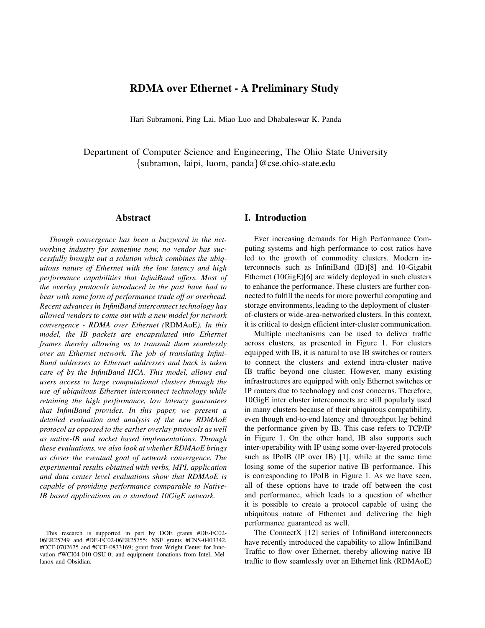# **RDMA over Ethernet - A Preliminary Study**

Hari Subramoni, Ping Lai, Miao Luo and Dhabaleswar K. Panda

Department of Computer Science and Engineering, The Ohio State University {subramon, laipi, luom, panda}@cse.ohio-state.edu

## **Abstract**

*Though convergence has been a buzzword in the networking industry for sometime now, no vendor has successfully brought out a solution which combines the ubiquitous nature of Ethernet with the low latency and high performance capabilities that InfiniBand offers. Most of the overlay protocols introduced in the past have had to bear with some form of performance trade off or overhead. Recent advances in InfiniBand interconnect technology has allowed vendors to come out with a new model for network convergence - RDMA over Ethernet (*RDMAoE*). In this model, the IB packets are encapsulated into Ethernet frames thereby allowing us to transmit them seamlessly over an Ethernet network. The job of translating Infini-Band addresses to Ethernet addresses and back is taken care of by the InfiniBand HCA. This model, allows end users access to large computational clusters through the use of ubiquitous Ethernet interconnect technology while retaining the high performance, low latency guarantees that InfiniBand provides. In this paper, we present a detailed evaluation and analysis of the new RDMAoE protocol as opposed to the earlier overlay protocols as well as native-IB and socket based implementations. Through these evaluations, we also look at whether RDMAoE brings us closer the eventual goal of network convergence. The experimental results obtained with verbs, MPI, application and data center level evaluations show that RDMAoE is capable of providing performance comparable to Native-IB based applications on a standard 10GigE network.*

## **I. Introduction**

Ever increasing demands for High Performance Computing systems and high performance to cost ratios have led to the growth of commodity clusters. Modern interconnects such as InfiniBand (IB)[8] and 10-Gigabit Ethernet (10GigE)[6] are widely deployed in such clusters to enhance the performance. These clusters are further connected to fulfill the needs for more powerful computing and storage environments, leading to the deployment of clusterof-clusters or wide-area-networked clusters. In this context, it is critical to design efficient inter-cluster communication.

Multiple mechanisms can be used to deliver traffic across clusters, as presented in Figure 1. For clusters equipped with IB, it is natural to use IB switches or routers to connect the clusters and extend intra-cluster native IB traffic beyond one cluster. However, many existing infrastructures are equipped with only Ethernet switches or IP routers due to technology and cost concerns. Therefore, 10GigE inter cluster interconnects are still popularly used in many clusters because of their ubiquitous compatibility, even though end-to-end latency and throughput lag behind the performance given by IB. This case refers to TCP/IP in Figure 1. On the other hand, IB also supports such inter-operability with IP using some over-layered protocols such as IPoIB (IP over IB) [1], while at the same time losing some of the superior native IB performance. This is corresponding to IPoIB in Figure 1. As we have seen, all of these options have to trade off between the cost and performance, which leads to a question of whether it is possible to create a protocol capable of using the ubiquitous nature of Ethernet and delivering the high performance guaranteed as well.

The ConnectX [12] series of InfiniBand interconnects have recently introduced the capability to allow InfiniBand Traffic to flow over Ethernet, thereby allowing native IB traffic to flow seamlessly over an Ethernet link (RDMAoE)

This research is supported in part by DOE grants #DE-FC02- 06ER25749 and #DE-FC02-06ER25755; NSF grants #CNS-0403342, #CCF-0702675 and #CCF-0833169; grant from Wright Center for Innovation #WCI04-010-OSU-0; and equipment donations from Intel, Mellanox and Obsidian.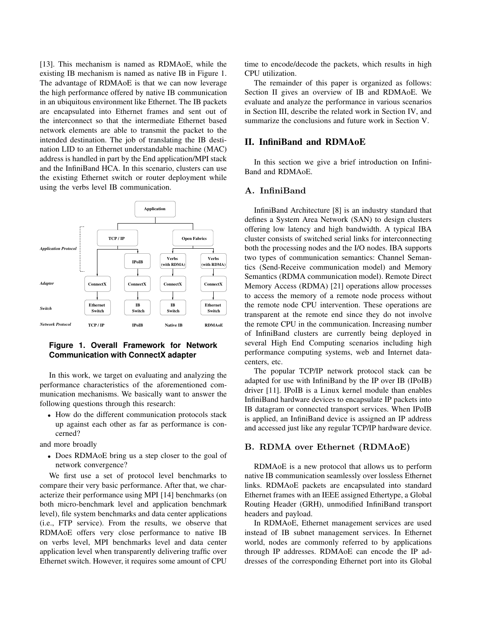[13]. This mechanism is named as RDMAoE, while the existing IB mechanism is named as native IB in Figure 1. The advantage of RDMAoE is that we can now leverage the high performance offered by native IB communication in an ubiquitous environment like Ethernet. The IB packets are encapsulated into Ethernet frames and sent out of the interconnect so that the intermediate Ethernet based network elements are able to transmit the packet to the intended destination. The job of translating the IB destination LID to an Ethernet understandable machine (MAC) address is handled in part by the End application/MPI stack and the InfiniBand HCA. In this scenario, clusters can use the existing Ethernet switch or router deployment while using the verbs level IB communication.



## **Figure 1. Overall Framework for Network Communication with ConnectX adapter**

In this work, we target on evaluating and analyzing the performance characteristics of the aforementioned communication mechanisms. We basically want to answer the following questions through this research:

• How do the different communication protocols stack up against each other as far as performance is concerned?

and more broadly

• Does RDMAoE bring us a step closer to the goal of network convergence?

We first use a set of protocol level benchmarks to compare their very basic performance. After that, we characterize their performance using MPI [14] benchmarks (on both micro-benchmark level and application benchmark level), file system benchmarks and data center applications (i.e., FTP service). From the results, we observe that RDMAoE offers very close performance to native IB on verbs level, MPI benchmarks level and data center application level when transparently delivering traffic over Ethernet switch. However, it requires some amount of CPU time to encode/decode the packets, which results in high CPU utilization.

The remainder of this paper is organized as follows: Section II gives an overview of IB and RDMAoE. We evaluate and analyze the performance in various scenarios in Section III, describe the related work in Section IV, and summarize the conclusions and future work in Section V.

## **II. InfiniBand and RDMAoE**

In this section we give a brief introduction on Infini-Band and RDMAoE.

#### A. InfiniBand

InfiniBand Architecture [8] is an industry standard that defines a System Area Network (SAN) to design clusters offering low latency and high bandwidth. A typical IBA cluster consists of switched serial links for interconnecting both the processing nodes and the I/O nodes. IBA supports two types of communication semantics: Channel Semantics (Send-Receive communication model) and Memory Semantics (RDMA communication model). Remote Direct Memory Access (RDMA) [21] operations allow processes to access the memory of a remote node process without the remote node CPU intervention. These operations are transparent at the remote end since they do not involve the remote CPU in the communication. Increasing number of InfiniBand clusters are currently being deployed in several High End Computing scenarios including high performance computing systems, web and Internet datacenters, etc.

The popular TCP/IP network protocol stack can be adapted for use with InfiniBand by the IP over IB (IPoIB) driver [11]. IPoIB is a Linux kernel module than enables InfiniBand hardware devices to encapsulate IP packets into IB datagram or connected transport services. When IPoIB is applied, an InfiniBand device is assigned an IP address and accessed just like any regular TCP/IP hardware device.

#### B. RDMA over Ethernet (RDMAoE)

RDMAoE is a new protocol that allows us to perform native IB communication seamlessly over lossless Ethernet links. RDMAoE packets are encapsulated into standard Ethernet frames with an IEEE assigned Ethertype, a Global Routing Header (GRH), unmodified InfiniBand transport headers and payload.

In RDMAoE, Ethernet management services are used instead of IB subnet management services. In Ethernet world, nodes are commonly referred to by applications through IP addresses. RDMAoE can encode the IP addresses of the corresponding Ethernet port into its Global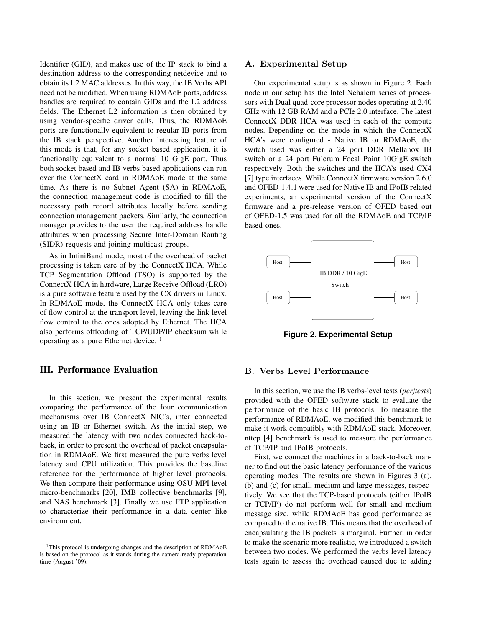Identifier (GID), and makes use of the IP stack to bind a destination address to the corresponding netdevice and to obtain its L2 MAC addresses. In this way, the IB Verbs API need not be modified. When using RDMAoE ports, address handles are required to contain GIDs and the L2 address fields. The Ethernet L2 information is then obtained by using vendor-specific driver calls. Thus, the RDMAoE ports are functionally equivalent to regular IB ports from the IB stack perspective. Another interesting feature of this mode is that, for any socket based application, it is functionally equivalent to a normal 10 GigE port. Thus both socket based and IB verbs based applications can run over the ConnectX card in RDMAoE mode at the same time. As there is no Subnet Agent (SA) in RDMAoE, the connection management code is modified to fill the necessary path record attributes locally before sending connection management packets. Similarly, the connection manager provides to the user the required address handle attributes when processing Secure Inter-Domain Routing (SIDR) requests and joining multicast groups.

As in InfiniBand mode, most of the overhead of packet processing is taken care of by the ConnectX HCA. While TCP Segmentation Offload (TSO) is supported by the ConnectX HCA in hardware, Large Receive Offload (LRO) is a pure software feature used by the CX drivers in Linux. In RDMAoE mode, the ConnectX HCA only takes care of flow control at the transport level, leaving the link level flow control to the ones adopted by Ethernet. The HCA also performs offloading of TCP/UDP/IP checksum while operating as a pure Ethernet device.<sup>1</sup>

### **III. Performance Evaluation**

In this section, we present the experimental results comparing the performance of the four communication mechanisms over IB ConnectX NIC's, inter connected using an IB or Ethernet switch. As the initial step, we measured the latency with two nodes connected back-toback, in order to present the overhead of packet encapsulation in RDMAoE. We first measured the pure verbs level latency and CPU utilization. This provides the baseline reference for the performance of higher level protocols. We then compare their performance using OSU MPI level micro-benchmarks [20], IMB collective benchmarks [9], and NAS benchmark [3]. Finally we use FTP application to characterize their performance in a data center like environment.

#### A. Experimental Setup

Our experimental setup is as shown in Figure 2. Each node in our setup has the Intel Nehalem series of processors with Dual quad-core processor nodes operating at 2.40 GHz with 12 GB RAM and a PCIe 2.0 interface. The latest ConnectX DDR HCA was used in each of the compute nodes. Depending on the mode in which the ConnectX HCA's were configured - Native IB or RDMAoE, the switch used was either a 24 port DDR Mellanox IB switch or a 24 port Fulcrum Focal Point 10GigE switch respectively. Both the switches and the HCA's used CX4 [7] type interfaces. While ConnectX firmware version 2.6.0 and OFED-1.4.1 were used for Native IB and IPoIB related experiments, an experimental version of the ConnectX firmware and a pre-release version of OFED based out of OFED-1.5 was used for all the RDMAoE and TCP/IP based ones.



**Figure 2. Experimental Setup**

#### B. Verbs Level Performance

In this section, we use the IB verbs-level tests (*perftests*) provided with the OFED software stack to evaluate the performance of the basic IB protocols. To measure the performance of RDMAoE, we modified this benchmark to make it work compatibly with RDMAoE stack. Moreover, nttcp [4] benchmark is used to measure the performance of TCP/IP and IPoIB protocols.

First, we connect the machines in a back-to-back manner to find out the basic latency performance of the various operating modes. The results are shown in Figures 3 (a), (b) and (c) for small, medium and large messages, respectively. We see that the TCP-based protocols (either IPoIB or TCP/IP) do not perform well for small and medium message size, while RDMAoE has good performance as compared to the native IB. This means that the overhead of encapsulating the IB packets is marginal. Further, in order to make the scenario more realistic, we introduced a switch between two nodes. We performed the verbs level latency tests again to assess the overhead caused due to adding

<sup>&</sup>lt;sup>1</sup>This protocol is undergoing changes and the description of RDMAoE is based on the protocol as it stands during the camera-ready preparation time (August '09).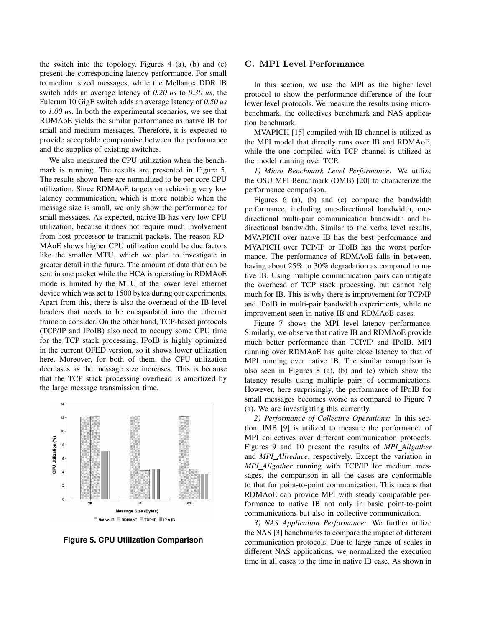the switch into the topology. Figures  $4$  (a), (b) and (c) present the corresponding latency performance. For small to medium sized messages, while the Mellanox DDR IB switch adds an average latency of *0.20 us* to *0.30 us*, the Fulcrum 10 GigE switch adds an average latency of *0.50 us* to *1.00 us*. In both the experimental scenarios, we see that RDMAoE yields the similar performance as native IB for small and medium messages. Therefore, it is expected to provide acceptable compromise between the performance and the supplies of existing switches.

We also measured the CPU utilization when the benchmark is running. The results are presented in Figure 5. The results shown here are normalized to be per core CPU utilization. Since RDMAoE targets on achieving very low latency communication, which is more notable when the message size is small, we only show the performance for small messages. As expected, native IB has very low CPU utilization, because it does not require much involvement from host processor to transmit packets. The reason RD-MAoE shows higher CPU utilization could be due factors like the smaller MTU, which we plan to investigate in greater detail in the future. The amount of data that can be sent in one packet while the HCA is operating in RDMAoE mode is limited by the MTU of the lower level ethernet device which was set to 1500 bytes during our experiments. Apart from this, there is also the overhead of the IB level headers that needs to be encapsulated into the ethernet frame to consider. On the other hand, TCP-based protocols (TCP/IP and IPoIB) also need to occupy some CPU time for the TCP stack processing. IPoIB is highly optimized in the current OFED version, so it shows lower utilization here. Moreover, for both of them, the CPU utilization decreases as the message size increases. This is because that the TCP stack processing overhead is amortized by the large message transmission time.



**Figure 5. CPU Utilization Comparison**

#### C. MPI Level Performance

In this section, we use the MPI as the higher level protocol to show the performance difference of the four lower level protocols. We measure the results using microbenchmark, the collectives benchmark and NAS application benchmark.

MVAPICH [15] compiled with IB channel is utilized as the MPI model that directly runs over IB and RDMAoE, while the one compiled with TCP channel is utilized as the model running over TCP.

*1) Micro Benchmark Level Performance:* We utilize the OSU MPI Benchmark (OMB) [20] to characterize the performance comparison.

Figures 6 (a), (b) and (c) compare the bandwidth performance, including one-directional bandwidth, onedirectional multi-pair communication bandwidth and bidirectional bandwidth. Similar to the verbs level results, MVAPICH over native IB has the best performance and MVAPICH over TCP/IP or IPoIB has the worst performance. The performance of RDMAoE falls in between, having about 25% to 30% degradation as compared to native IB. Using multiple communication pairs can mitigate the overhead of TCP stack processing, but cannot help much for IB. This is why there is improvement for TCP/IP and IPoIB in multi-pair bandwidth experiments, while no improvement seen in native IB and RDMAoE cases.

Figure 7 shows the MPI level latency performance. Similarly, we observe that native IB and RDMAoE provide much better performance than TCP/IP and IPoIB. MPI running over RDMAoE has quite close latency to that of MPI running over native IB. The similar comparison is also seen in Figures 8 (a), (b) and (c) which show the latency results using multiple pairs of communications. However, here surprisingly, the performance of IPoIB for small messages becomes worse as compared to Figure 7 (a). We are investigating this currently.

*2) Performance of Collective Operations:* In this section, IMB [9] is utilized to measure the performance of MPI collectives over different communication protocols. Figures 9 and 10 present the results of *MPI Allgather* and *MPI Allreduce*, respectively. Except the variation in *MPI Allgather* running with TCP/IP for medium messages, the comparison in all the cases are conformable to that for point-to-point communication. This means that RDMAoE can provide MPI with steady comparable performance to native IB not only in basic point-to-point communications but also in collective communication.

*3) NAS Application Performance:* We further utilize the NAS [3] benchmarks to compare the impact of different communication protocols. Due to large range of scales in different NAS applications, we normalized the execution time in all cases to the time in native IB case. As shown in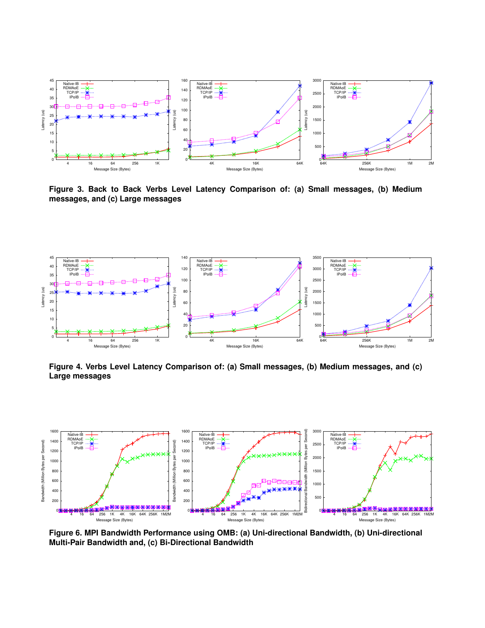

**Figure 3. Back to Back Verbs Level Latency Comparison of: (a) Small messages, (b) Medium messages, and (c) Large messages**



**Figure 4. Verbs Level Latency Comparison of: (a) Small messages, (b) Medium messages, and (c) Large messages**



**Figure 6. MPI Bandwidth Performance using OMB: (a) Uni-directional Bandwidth, (b) Uni-directional Multi-Pair Bandwidth and, (c) Bi-Directional Bandwidth**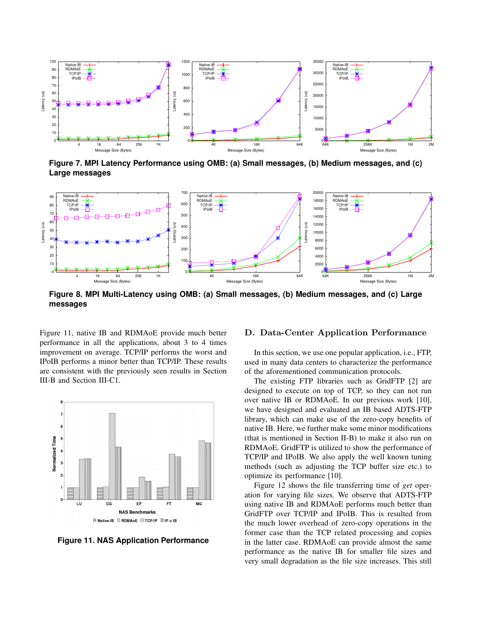

**Figure 7. MPI Latency Performance using OMB: (a) Small messages, (b) Medium messages, and (c) Large messages**



**Figure 8. MPI Multi-Latency using OMB: (a) Small messages, (b) Medium messages, and (c) Large messages**

Figure 11, native IB and RDMAoE provide much better performance in all the applications, about 3 to 4 times improvement on average. TCP/IP performs the worst and IPoIB performs a minor better than TCP/IP. These results are consistent with the previously seen results in Section III-B and Section III-C1.



**Figure 11. NAS Application Performance**

#### D. Data-Center Application Performance

In this section, we use one popular application, i.e., FTP, used in many data centers to characterize the performance of the aforementioned communication protocols.

The existing FTP libraries such as GridFTP [2] are designed to execute on top of TCP, so they can not run over native IB or RDMAoE. In our previous work [10], we have designed and evaluated an IB based ADTS-FTP library, which can make use of the zero-copy benefits of native IB. Here, we further make some minor modifications (that is mentioned in Section II-B) to make it also run on RDMAoE. GridFTP is utilized to show the performance of TCP/IP and IPoIB. We also apply the well known tuning methods (such as adjusting the TCP buffer size etc.) to optimize its performance [10].

Figure 12 shows the file transferring time of *get* operation for varying file sizes. We observe that ADTS-FTP using native IB and RDMAoE performs much better than GridFTP over TCP/IP and IPoIB. This is resulted from the much lower overhead of zero-copy operations in the former case than the TCP related processing and copies in the latter case. RDMAoE can provide almost the same performance as the native IB for smaller file sizes and very small degradation as the file size increases. This still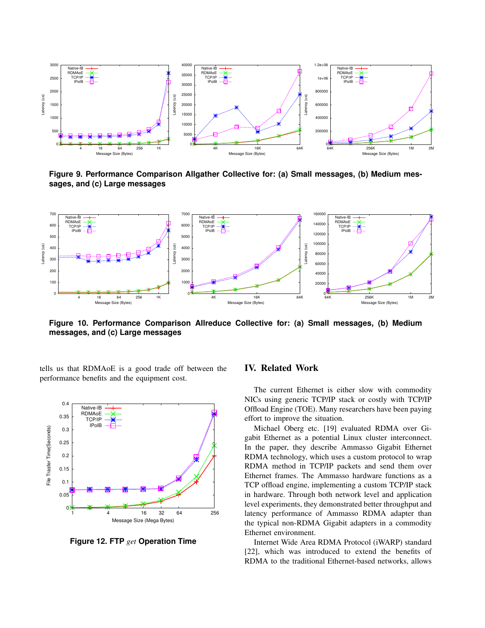

**Figure 9. Performance Comparison Allgather Collective for: (a) Small messages, (b) Medium messages, and (c) Large messages**



**Figure 10. Performance Comparison Allreduce Collective for: (a) Small messages, (b) Medium messages, and (c) Large messages**

tells us that RDMAoE is a good trade off between the performance benefits and the equipment cost.



**Figure 12. FTP** *get* **Operation Time**

# **IV. Related Work**

The current Ethernet is either slow with commodity NICs using generic TCP/IP stack or costly with TCP/IP Offload Engine (TOE). Many researchers have been paying effort to improve the situation.

Michael Oberg etc. [19] evaluated RDMA over Gigabit Ethernet as a potential Linux cluster interconnect. In the paper, they describe Ammasso Gigabit Ethernet RDMA technology, which uses a custom protocol to wrap RDMA method in TCP/IP packets and send them over Ethernet frames. The Ammasso hardware functions as a TCP offload engine, implementing a custom TCP/IP stack in hardware. Through both network level and application level experiments, they demonstrated better throughput and latency performance of Ammasso RDMA adapter than the typical non-RDMA Gigabit adapters in a commodity Ethernet environment.

Internet Wide Area RDMA Protocol (iWARP) standard [22], which was introduced to extend the benefits of RDMA to the traditional Ethernet-based networks, allows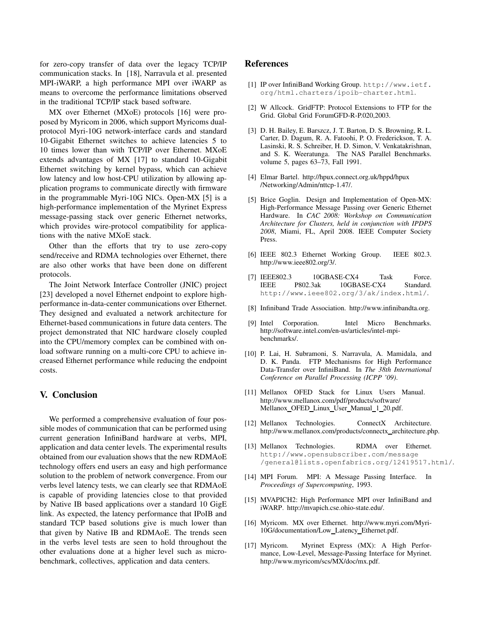for zero-copy transfer of data over the legacy TCP/IP communication stacks. In [18], Narravula et al. presented MPI-iWARP, a high performance MPI over iWARP as means to overcome the performance limitations observed in the traditional TCP/IP stack based software.

MX over Ethernet (MXoE) protocols [16] were proposed by Myricom in 2006, which support Myricoms dualprotocol Myri-10G network-interface cards and standard 10-Gigabit Ethernet switches to achieve latencies 5 to 10 times lower than with TCP/IP over Ethernet. MXoE extends advantages of MX [17] to standard 10-Gigabit Ethernet switching by kernel bypass, which can achieve low latency and low host-CPU utilization by allowing application programs to communicate directly with firmware in the programmable Myri-10G NICs. Open-MX [5] is a high-performance implementation of the Myrinet Express message-passing stack over generic Ethernet networks, which provides wire-protocol compatibility for applications with the native MXoE stack.

Other than the efforts that try to use zero-copy send/receive and RDMA technologies over Ethernet, there are also other works that have been done on different protocols.

The Joint Network Interface Controller (JNIC) project [23] developed a novel Ethernet endpoint to explore highperformance in-data-center communications over Ethernet. They designed and evaluated a network architecture for Ethernet-based communications in future data centers. The project demonstrated that NIC hardware closely coupled into the CPU/memory complex can be combined with onload software running on a multi-core CPU to achieve increased Ethernet performance while reducing the endpoint costs.

## **V. Conclusion**

We performed a comprehensive evaluation of four possible modes of communication that can be performed using current generation InfiniBand hardware at verbs, MPI, application and data center levels. The experimental results obtained from our evaluation shows that the new RDMAoE technology offers end users an easy and high performance solution to the problem of network convergence. From our verbs level latency tests, we can clearly see that RDMAoE is capable of providing latencies close to that provided by Native IB based applications over a standard 10 GigE link. As expected, the latency performance that IPoIB and standard TCP based solutions give is much lower than that given by Native IB and RDMAoE. The trends seen in the verbs level tests are seen to hold throughout the other evaluations done at a higher level such as microbenchmark, collectives, application and data centers.

## **References**

- [1] IP over InfiniBand Working Group. http://www.ietf. org/html.charters/ipoib-charter.html.
- [2] W Allcock. GridFTP: Protocol Extensions to FTP for the Grid. Global Grid ForumGFD-R-P.020,2003.
- [3] D. H. Bailey, E. Barszcz, J. T. Barton, D. S. Browning, R. L. Carter, D. Dagum, R. A. Fatoohi, P. O. Frederickson, T. A. Lasinski, R. S. Schreiber, H. D. Simon, V. Venkatakrishnan, and S. K. Weeratunga. The NAS Parallel Benchmarks. volume 5, pages 63–73, Fall 1991.
- [4] Elmar Bartel. http://hpux.connect.org.uk/hppd/hpux /Networking/Admin/nttcp-1.47/.
- [5] Brice Goglin. Design and Implementation of Open-MX: High-Performance Message Passing over Generic Ethernet Hardware. In *CAC 2008: Workshop on Communication Architecture for Clusters, held in conjunction with IPDPS 2008*, Miami, FL, April 2008. IEEE Computer Society Press.
- [6] IEEE 802.3 Ethernet Working Group. IEEE 802.3. http://www.ieee802.org/3/.
- [7] IEEE802.3 10GBASE-CX4 Task Force. IEEE P802.3ak 10GBASE-CX4 Standard. http://www.ieee802.org/3/ak/index.html/.
- [8] Infiniband Trade Association. http://www.infinibandta.org.
- [9] Intel Corporation. Intel Micro Benchmarks. http://software.intel.com/en-us/articles/intel-mpibenchmarks/.
- [10] P. Lai, H. Subramoni, S. Narravula, A. Mamidala, and D. K. Panda. FTP Mechanisms for High Performance Data-Transfer over InfiniBand. In *The 38th International Conference on Parallel Processing (ICPP '09)*.
- [11] Mellanox OFED Stack for Linux Users Manual. http://www.mellanox.com/pdf/products/software/ Mellanox\_OFED\_Linux\_User\_Manual\_1\_20.pdf.
- [12] Mellanox Technologies. ConnectX Architecture. http://www.mellanox.com/products/connectx\_architecture.php.
- [13] Mellanox Technologies. RDMA over Ethernet. http://www.opensubscriber.com/message /general@lists.openfabrics.org/12419517.html/.
- [14] MPI Forum. MPI: A Message Passing Interface. In *Proceedings of Supercomputing*, 1993.
- [15] MVAPICH2: High Performance MPI over InfiniBand and iWARP. http://mvapich.cse.ohio-state.edu/.
- [16] Myricom. MX over Ethernet. http://www.myri.com/Myri-10G/documentation/Low Latency Ethernet.pdf.
- [17] Myricom. Myrinet Express (MX): A High Performance, Low-Level, Message-Passing Interface for Myrinet. http://www.myricom/scs/MX/doc/mx.pdf.